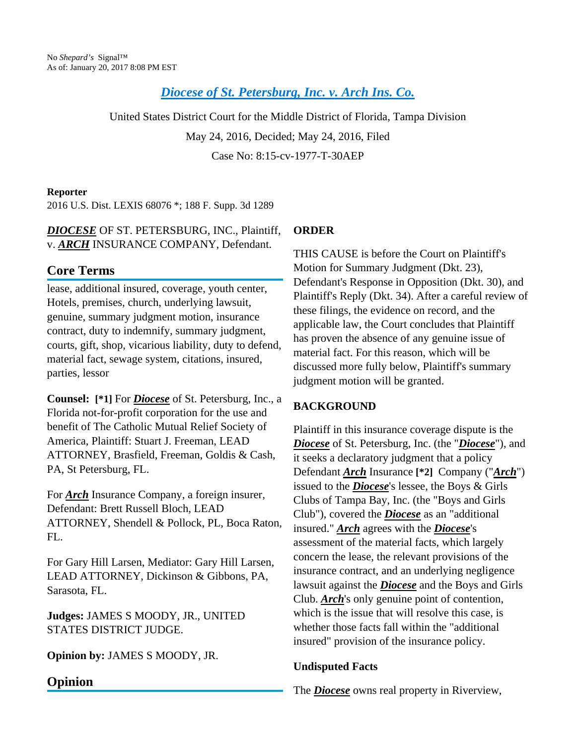# *Diocese of St. [Petersburg,](http://advance.lexis.com/api/document?collection=cases&id=urn:contentItem:5JVM-0YJ1-F04D-10RJ-00000-00&context=) Inc. v. Arch Ins. Co.*

United States District Court for the Middle District of Florida, Tampa Division May 24, 2016, Decided; May 24, 2016, Filed Case No: 8:15-cv-1977-T-30AEP

#### **Reporter**

2016 U.S. Dist. LEXIS 68076 \*; 188 F. Supp. 3d 1289

### *DIOCESE* OF ST. PETERSBURG, INC., Plaintiff, v. *ARCH* INSURANCE COMPANY, Defendant.

## **Core Terms**

lease, additional insured, coverage, youth center, Hotels, premises, church, underlying lawsuit, genuine, summary judgment motion, insurance contract, duty to indemnify, summary judgment, courts, gift, shop, vicarious liability, duty to defend, material fact, sewage system, citations, insured, parties, lessor

**Counsel: [\*1]** For *Diocese* of St. Petersburg, Inc., a Florida not-for-profit corporation for the use and benefit of The Catholic Mutual Relief Society of America, Plaintiff: Stuart J. Freeman, LEAD ATTORNEY, Brasfield, Freeman, Goldis & Cash, PA, St Petersburg, FL.

For *Arch* Insurance Company, a foreign insurer, Defendant: Brett Russell Bloch, LEAD ATTORNEY, Shendell & Pollock, PL, Boca Raton,  $FI$ .

For Gary Hill Larsen, Mediator: Gary Hill Larsen, LEAD ATTORNEY, Dickinson & Gibbons, PA, Sarasota, FL.

**Judges:** JAMES S MOODY, JR., UNITED STATES DISTRICT JUDGE.

**Opinion by:** JAMES S MOODY, JR.

## **ORDER**

THIS CAUSE is before the Court on Plaintiff's Motion for Summary Judgment (Dkt. 23), Defendant's Response in Opposition (Dkt. 30), and Plaintiff's Reply (Dkt. 34). After a careful review of these filings, the evidence on record, and the applicable law, the Court concludes that Plaintiff has proven the absence of any genuine issue of material fact. For this reason, which will be discussed more fully below, Plaintiff's summary judgment motion will be granted.

### **BACKGROUND**

Plaintiff in this insurance coverage dispute is the *Diocese* of St. Petersburg, Inc. (the "*Diocese*"), and it seeks a declaratory judgment that a policy Defendant *Arch* Insurance **[\*2]** Company ("*Arch*") issued to the *Diocese*'s lessee, the Boys & Girls Clubs of Tampa Bay, Inc. (the "Boys and Girls Club"), covered the *Diocese* as an "additional insured." *Arch* agrees with the *Diocese*'s assessment of the material facts, which largely concern the lease, the relevant provisions of the insurance contract, and an underlying negligence lawsuit against the *Diocese* and the Boys and Girls Club. *Arch*'s only genuine point of contention, which is the issue that will resolve this case, is whether those facts fall within the "additional insured" provision of the insurance policy.

#### **Undisputed Facts**

The *Diocese* owns real property in Riverview,

## **Opinion**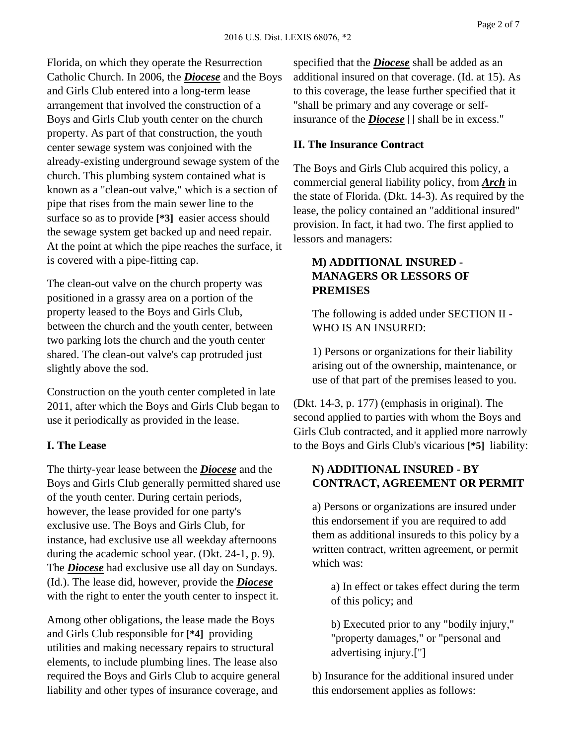Florida, on which they operate the Resurrection Catholic Church. In 2006, the *Diocese* and the Boys and Girls Club entered into a long-term lease arrangement that involved the construction of a Boys and Girls Club youth center on the church property. As part of that construction, the youth center sewage system was conjoined with the already-existing underground sewage system of the church. This plumbing system contained what is known as a "clean-out valve," which is a section of pipe that rises from the main sewer line to the surface so as to provide **[\*3]** easier access should the sewage system get backed up and need repair. At the point at which the pipe reaches the surface, it is covered with a pipe-fitting cap.

The clean-out valve on the church property was positioned in a grassy area on a portion of the property leased to the Boys and Girls Club, between the church and the youth center, between two parking lots the church and the youth center shared. The clean-out valve's cap protruded just slightly above the sod.

Construction on the youth center completed in late 2011, after which the Boys and Girls Club began to use it periodically as provided in the lease.

#### **I. The Lease**

The thirty-year lease between the *Diocese* and the Boys and Girls Club generally permitted shared use of the youth center. During certain periods, however, the lease provided for one party's exclusive use. The Boys and Girls Club, for instance, had exclusive use all weekday afternoons during the academic school year. (Dkt. 24-1, p. 9). The *Diocese* had exclusive use all day on Sundays. (Id.). The lease did, however, provide the *Diocese* with the right to enter the youth center to inspect it.

Among other obligations, the lease made the Boys and Girls Club responsible for **[\*4]** providing utilities and making necessary repairs to structural elements, to include plumbing lines. The lease also required the Boys and Girls Club to acquire general liability and other types of insurance coverage, and

specified that the *Diocese* shall be added as an additional insured on that coverage. (Id. at 15). As to this coverage, the lease further specified that it "shall be primary and any coverage or selfinsurance of the *Diocese* [] shall be in excess."

#### **II. The Insurance Contract**

The Boys and Girls Club acquired this policy, a commercial general liability policy, from *Arch* in the state of Florida. (Dkt. 14-3). As required by the lease, the policy contained an "additional insured" provision. In fact, it had two. The first applied to lessors and managers:

### **M) ADDITIONAL INSURED - MANAGERS OR LESSORS OF PREMISES**

The following is added under SECTION II - WHO IS AN INSURED:

1) Persons or organizations for their liability arising out of the ownership, maintenance, or use of that part of the premises leased to you.

(Dkt. 14-3, p. 177) (emphasis in original). The second applied to parties with whom the Boys and Girls Club contracted, and it applied more narrowly to the Boys and Girls Club's vicarious **[\*5]** liability:

### **N) ADDITIONAL INSURED - BY CONTRACT, AGREEMENT OR PERMIT**

a) Persons or organizations are insured under this endorsement if you are required to add them as additional insureds to this policy by a written contract, written agreement, or permit which was:

a) In effect or takes effect during the term of this policy; and

b) Executed prior to any "bodily injury," "property damages," or "personal and advertising injury.["]

b) Insurance for the additional insured under this endorsement applies as follows: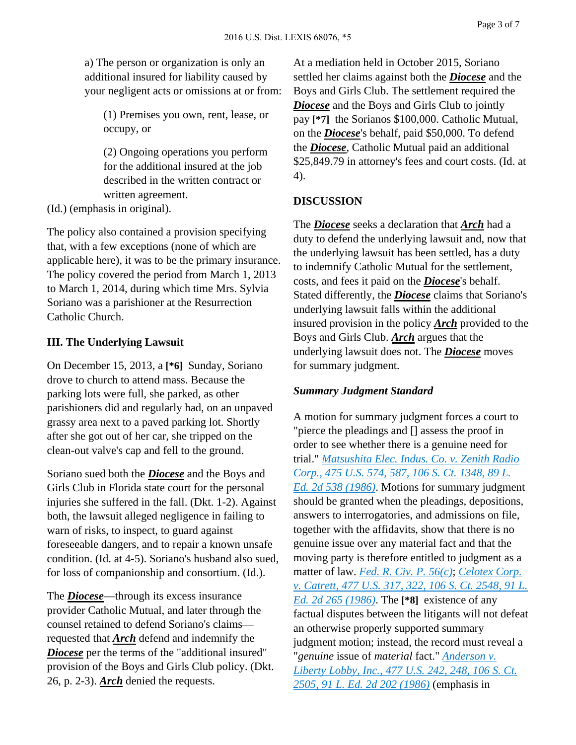a) The person or organization is only an additional insured for liability caused by your negligent acts or omissions at or from:

(1) Premises you own, rent, lease, or occupy, or

(2) Ongoing operations you perform for the additional insured at the job described in the written contract or written agreement.

(Id.) (emphasis in original).

The policy also contained a provision specifying that, with a few exceptions (none of which are applicable here), it was to be the primary insurance. The policy covered the period from March 1, 2013 to March 1, 2014, during which time Mrs. Sylvia Soriano was a parishioner at the Resurrection Catholic Church.

#### **III. The Underlying Lawsuit**

On December 15, 2013, a **[\*6]** Sunday, Soriano drove to church to attend mass. Because the parking lots were full, she parked, as other parishioners did and regularly had, on an unpaved grassy area next to a paved parking lot. Shortly after she got out of her car, she tripped on the clean-out valve's cap and fell to the ground.

Soriano sued both the *Diocese* and the Boys and Girls Club in Florida state court for the personal injuries she suffered in the fall. (Dkt. 1-2). Against both, the lawsuit alleged negligence in failing to warn of risks, to inspect, to guard against foreseeable dangers, and to repair a known unsafe condition. (Id. at 4-5). Soriano's husband also sued, for loss of companionship and consortium. (Id.).

The *Diocese*—through its excess insurance provider Catholic Mutual, and later through the counsel retained to defend Soriano's claims requested that *Arch* defend and indemnify the *Diocese* per the terms of the "additional insured" provision of the Boys and Girls Club policy. (Dkt. 26, p. 2-3). *Arch* denied the requests.

At a mediation held in October 2015, Soriano settled her claims against both the *Diocese* and the Boys and Girls Club. The settlement required the *Diocese* and the Boys and Girls Club to jointly pay **[\*7]** the Sorianos \$100,000. Catholic Mutual, on the *Diocese*'s behalf, paid \$50,000. To defend the *Diocese*, Catholic Mutual paid an additional \$25,849.79 in attorney's fees and court costs. (Id. at 4).

### **DISCUSSION**

The *Diocese* seeks a declaration that *Arch* had a duty to defend the underlying lawsuit and, now that the underlying lawsuit has been settled, has a duty to indemnify Catholic Mutual for the settlement, costs, and fees it paid on the *Diocese*'s behalf. Stated differently, the *Diocese* claims that Soriano's underlying lawsuit falls within the additional insured provision in the policy *Arch* provided to the Boys and Girls Club. *Arch* argues that the underlying lawsuit does not. The *Diocese* moves for summary judgment.

#### *Summary Judgment Standard*

A motion for summary judgment forces a court to "pierce the pleadings and [] assess the proof in order to see whether there is a genuine need for trial." *[Matsushita](http://advance.lexis.com/api/document?collection=cases&id=urn:contentItem:3S4X-7P90-0039-N51W-00000-00&context=) Elec. Indus. Co. v. Zenith Radio [Corp.,](http://advance.lexis.com/api/document?collection=cases&id=urn:contentItem:3S4X-7P90-0039-N51W-00000-00&context=) 475 U.S. 574, 587, 106 S. Ct. 1348, 89 L. Ed. 2d 538 [\(1986\)](http://advance.lexis.com/api/document?collection=cases&id=urn:contentItem:3S4X-7P90-0039-N51W-00000-00&context=)*. Motions for summary judgment should be granted when the pleadings, depositions, answers to interrogatories, and admissions on file, together with the affidavits, show that there is no genuine issue over any material fact and that the moving party is therefore entitled to judgment as a matter of law. *Fed. R. Civ. P. [56\(c\)](http://advance.lexis.com/api/document?collection=statutes-legislation&id=urn:contentItem:5GYC-2421-6N19-F165-00000-00&context=)*; *[Celotex](http://advance.lexis.com/api/document?collection=cases&id=urn:contentItem:3S4X-6HC0-0039-N37R-00000-00&context=) Corp. v. [Catrett,](http://advance.lexis.com/api/document?collection=cases&id=urn:contentItem:3S4X-6HC0-0039-N37R-00000-00&context=) 477 U.S. 317, 322, 106 S. Ct. 2548, 91 L. Ed. 2d 265 [\(1986\)](http://advance.lexis.com/api/document?collection=cases&id=urn:contentItem:3S4X-6HC0-0039-N37R-00000-00&context=)*. The **[\*8]** existence of any factual disputes between the litigants will not defeat an otherwise properly supported summary judgment motion; instead, the record must reveal a "*genuine* issue of *material* fact." *[Anderson](http://advance.lexis.com/api/document?collection=cases&id=urn:contentItem:3S4X-6H80-0039-N37M-00000-00&context=) v. [Liberty](http://advance.lexis.com/api/document?collection=cases&id=urn:contentItem:3S4X-6H80-0039-N37M-00000-00&context=) Lobby, Inc., 477 U.S. 242, 248, 106 S. Ct. 2505, 91 L. Ed. 2d 202 [\(1986\)](http://advance.lexis.com/api/document?collection=cases&id=urn:contentItem:3S4X-6H80-0039-N37M-00000-00&context=)* (emphasis in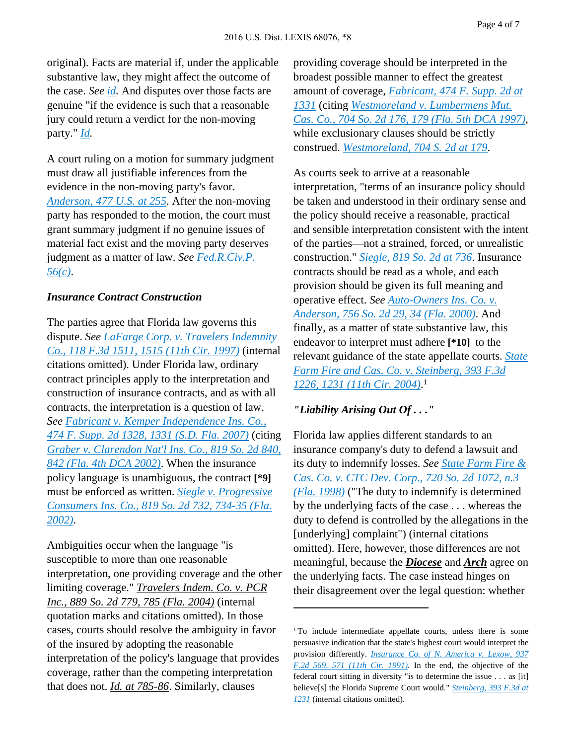original). Facts are material if, under the applicable substantive law, they might affect the outcome of the case. *See [id](http://advance.lexis.com/api/document?collection=cases&id=urn:contentItem:3S4X-6H80-0039-N37M-00000-00&context=).* And disputes over those facts are genuine "if the evidence is such that a reasonable jury could return a verdict for the non-moving party." *[Id.](http://advance.lexis.com/api/document?collection=cases&id=urn:contentItem:3S4X-6H80-0039-N37M-00000-00&context=)*

A court ruling on a motion for summary judgment must draw all justifiable inferences from the evidence in the non-moving party's favor. *[Anderson,](http://advance.lexis.com/api/document?collection=cases&id=urn:contentItem:3S4X-6H80-0039-N37M-00000-00&context=) 477 U.S. at 255*. After the non-moving party has responded to the motion, the court must grant summary judgment if no genuine issues of material fact exist and the moving party deserves judgment as a matter of law. *See [Fed.R.Civ.P.](http://advance.lexis.com/api/document?collection=statutes-legislation&id=urn:contentItem:5GYC-2421-6N19-F165-00000-00&context=) [56\(c\)](http://advance.lexis.com/api/document?collection=statutes-legislation&id=urn:contentItem:5GYC-2421-6N19-F165-00000-00&context=)*.

#### *Insurance Contract Construction*

The parties agree that Florida law governs this dispute. *See LaFarge Corp. v. Travelers [Indemnity](http://advance.lexis.com/api/document?collection=cases&id=urn:contentItem:3RJP-N050-00B1-D11D-00000-00&context=) Co., 118 F.3d 1511, 1515 (11th Cir. [1997\)](http://advance.lexis.com/api/document?collection=cases&id=urn:contentItem:3RJP-N050-00B1-D11D-00000-00&context=)* (internal citations omitted). Under Florida law, ordinary contract principles apply to the interpretation and construction of insurance contracts, and as with all contracts, the interpretation is a question of law. *See Fabricant v. Kemper [Independence](http://advance.lexis.com/api/document?collection=cases&id=urn:contentItem:4N3Y-D8X0-TVTD-01YT-00000-00&context=) Ins. Co., 474 F. Supp. 2d 1328, 1331 (S.D. Fla. [2007\)](http://advance.lexis.com/api/document?collection=cases&id=urn:contentItem:4N3Y-D8X0-TVTD-01YT-00000-00&context=)* (citing *Graber v. [Clarendon](http://advance.lexis.com/api/document?collection=cases&id=urn:contentItem:45V2-N370-0039-44F8-00000-00&context=) Nat'l Ins. Co., 819 So. 2d 840, 842 (Fla. 4th DCA [2002\)](http://advance.lexis.com/api/document?collection=cases&id=urn:contentItem:45V2-N370-0039-44F8-00000-00&context=)*. When the insurance policy language is unambiguous, the contract **[\*9]** must be enforced as written. *Siegle v. [Progressive](http://advance.lexis.com/api/document?collection=cases&id=urn:contentItem:45WR-HWW0-0039-40D4-00000-00&context=) [Consumers](http://advance.lexis.com/api/document?collection=cases&id=urn:contentItem:45WR-HWW0-0039-40D4-00000-00&context=) Ins. Co., 819 So. 2d 732, 734-35 (Fla. [2002\)](http://advance.lexis.com/api/document?collection=cases&id=urn:contentItem:45WR-HWW0-0039-40D4-00000-00&context=)*.

Ambiguities occur when the language "is susceptible to more than one reasonable interpretation, one providing coverage and the other limiting coverage." *Travelers Indem. Co. v. PCR Inc., 889 So. 2d 779, 785 (Fla. 2004)* (internal quotation marks and citations omitted). In those cases, courts should resolve the ambiguity in favor of the insured by adopting the reasonable interpretation of the policy's language that provides coverage, rather than the competing interpretation that does not. *Id. at 785-86*. Similarly, clauses

providing coverage should be interpreted in the broadest possible manner to effect the greatest amount of coverage, *[Fabricant,](http://advance.lexis.com/api/document?collection=cases&id=urn:contentItem:4N3Y-D8X0-TVTD-01YT-00000-00&context=) 474 F. Supp. 2d at [1331](http://advance.lexis.com/api/document?collection=cases&id=urn:contentItem:4N3Y-D8X0-TVTD-01YT-00000-00&context=)* (citing *[Westmoreland](http://advance.lexis.com/api/document?collection=cases&id=urn:contentItem:3S3Y-N4R0-0039-4264-00000-00&context=) v. Lumbermens Mut. Cas. Co., 704 So. 2d 176, 179 (Fla. 5th DCA [1997\)](http://advance.lexis.com/api/document?collection=cases&id=urn:contentItem:3S3Y-N4R0-0039-4264-00000-00&context=)*, while exclusionary clauses should be strictly construed. *[Westmoreland,](http://advance.lexis.com/api/document?collection=cases&id=urn:contentItem:3S3Y-N4R0-0039-4264-00000-00&context=) 704 S. 2d at 179*.

As courts seek to arrive at a reasonable interpretation, "terms of an insurance policy should be taken and understood in their ordinary sense and the policy should receive a reasonable, practical and sensible interpretation consistent with the intent of the parties—not a strained, forced, or unrealistic construction." *[Siegle,](http://advance.lexis.com/api/document?collection=cases&id=urn:contentItem:45WR-HWW0-0039-40D4-00000-00&context=) 819 So. 2d at 736*. Insurance contracts should be read as a whole, and each provision should be given its full meaning and operative effect. *See [Auto-Owners](http://advance.lexis.com/api/document?collection=cases&id=urn:contentItem:3YW3-F4P0-0039-424V-00000-00&context=) Ins. Co. v. [Anderson,](http://advance.lexis.com/api/document?collection=cases&id=urn:contentItem:3YW3-F4P0-0039-424V-00000-00&context=) 756 So. 2d 29, 34 (Fla. 2000)*. And finally, as a matter of state substantive law, this endeavor to interpret must adhere **[\*10]** to the relevant guidance of the state appellate courts. *[State](http://advance.lexis.com/api/document?collection=cases&id=urn:contentItem:4F2M-WR90-0038-X238-00000-00&context=) Farm Fire and Cas. Co. v. [Steinberg,](http://advance.lexis.com/api/document?collection=cases&id=urn:contentItem:4F2M-WR90-0038-X238-00000-00&context=) 393 F.3d 1226, 1231 (11th Cir. [2004\)](http://advance.lexis.com/api/document?collection=cases&id=urn:contentItem:4F2M-WR90-0038-X238-00000-00&context=)*. 1

#### *"Liability Arising Out Of . . ."*

Florida law applies different standards to an insurance company's duty to defend a lawsuit and its duty to indemnify losses. *See State [Farm](http://advance.lexis.com/api/document?collection=cases&id=urn:contentItem:3TTR-48J0-0039-40N0-00000-00&context=) Fire & Cas. Co. v. CTC Dev. [Corp.,](http://advance.lexis.com/api/document?collection=cases&id=urn:contentItem:3TTR-48J0-0039-40N0-00000-00&context=) 720 So. 2d 1072, n.3 (Fla. [1998\)](http://advance.lexis.com/api/document?collection=cases&id=urn:contentItem:3TTR-48J0-0039-40N0-00000-00&context=)* ("The duty to indemnify is determined by the underlying facts of the case . . . whereas the duty to defend is controlled by the allegations in the [underlying] complaint") (internal citations omitted). Here, however, those differences are not meaningful, because the *Diocese* and *Arch* agree on the underlying facts. The case instead hinges on their disagreement over the legal question: whether

<sup>&</sup>lt;sup>1</sup>To include intermediate appellate courts, unless there is some persuasive indication that the state's highest court would interpret the provision differently. *[Insurance](http://advance.lexis.com/api/document?collection=cases&id=urn:contentItem:3S4X-9RP0-008H-V04X-00000-00&context=) Co. of N. America v. Lexow, 937 F.2d 569, 571 (11th Cir. [1991\)](http://advance.lexis.com/api/document?collection=cases&id=urn:contentItem:3S4X-9RP0-008H-V04X-00000-00&context=)*. In the end, the objective of the federal court sitting in diversity "is to determine the issue . . . as [it] believe[s] the Florida Supreme Court would." *[Steinberg,](http://advance.lexis.com/api/document?collection=cases&id=urn:contentItem:4F2M-WR90-0038-X238-00000-00&context=) 393 F.3d at [1231](http://advance.lexis.com/api/document?collection=cases&id=urn:contentItem:4F2M-WR90-0038-X238-00000-00&context=)* (internal citations omitted).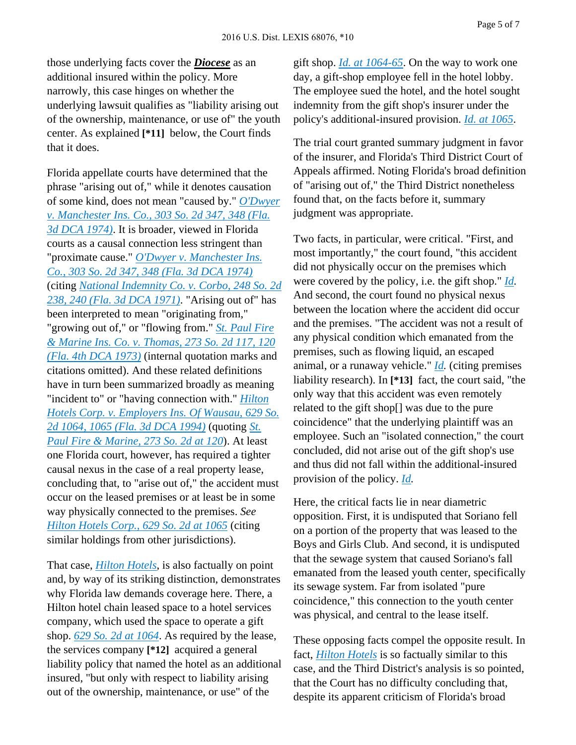those underlying facts cover the *Diocese* as an additional insured within the policy. More narrowly, this case hinges on whether the underlying lawsuit qualifies as "liability arising out of the ownership, maintenance, or use of" the youth center. As explained **[\*11]** below, the Court finds that it does.

Florida appellate courts have determined that the phrase "arising out of," while it denotes causation of some kind, does not mean "caused by." *[O'Dwyer](http://advance.lexis.com/api/document?collection=cases&id=urn:contentItem:3RRM-6TM0-003C-W26S-00000-00&context=) v. [Manchester](http://advance.lexis.com/api/document?collection=cases&id=urn:contentItem:3RRM-6TM0-003C-W26S-00000-00&context=) Ins. Co., 303 So. 2d 347, 348 (Fla. 3d DCA [1974\)](http://advance.lexis.com/api/document?collection=cases&id=urn:contentItem:3RRM-6TM0-003C-W26S-00000-00&context=)*. It is broader, viewed in Florida courts as a causal connection less stringent than "proximate cause." *O'Dwyer v. [Manchester](http://advance.lexis.com/api/document?collection=cases&id=urn:contentItem:3RRM-6TM0-003C-W26S-00000-00&context=) Ins. Co., 303 So. 2d 347, 348 (Fla. 3d DCA [1974\)](http://advance.lexis.com/api/document?collection=cases&id=urn:contentItem:3RRM-6TM0-003C-W26S-00000-00&context=)* (citing *National [Indemnity](http://advance.lexis.com/api/document?collection=cases&id=urn:contentItem:3RRM-7V80-003C-W0G5-00000-00&context=) Co. v. Corbo, 248 So. 2d 238, 240 (Fla. 3d DCA [1971\)](http://advance.lexis.com/api/document?collection=cases&id=urn:contentItem:3RRM-7V80-003C-W0G5-00000-00&context=)*. "Arising out of" has been interpreted to mean "originating from," "growing out of," or "flowing from." *St. [Paul](http://advance.lexis.com/api/document?collection=cases&id=urn:contentItem:3RRM-7FK0-003C-W1MP-00000-00&context=) Fire & Marine Ins. Co. v. [Thomas,](http://advance.lexis.com/api/document?collection=cases&id=urn:contentItem:3RRM-7FK0-003C-W1MP-00000-00&context=) 273 So. 2d 117, 120 (Fla. 4th DCA [1973\)](http://advance.lexis.com/api/document?collection=cases&id=urn:contentItem:3RRM-7FK0-003C-W1MP-00000-00&context=)* (internal quotation marks and citations omitted). And these related definitions have in turn been summarized broadly as meaning "incident to" or "having connection with." *[Hilton](http://advance.lexis.com/api/document?collection=cases&id=urn:contentItem:3RX4-7JP0-003F-3529-00000-00&context=) Hotels Corp. v. [Employers](http://advance.lexis.com/api/document?collection=cases&id=urn:contentItem:3RX4-7JP0-003F-3529-00000-00&context=) Ins. Of Wausau, 629 So. 2d 1064, 1065 (Fla. 3d DCA [1994\)](http://advance.lexis.com/api/document?collection=cases&id=urn:contentItem:3RX4-7JP0-003F-3529-00000-00&context=)* (quoting *[St.](http://advance.lexis.com/api/document?collection=cases&id=urn:contentItem:3RRM-7FK0-003C-W1MP-00000-00&context=) Paul Fire & [Marine,](http://advance.lexis.com/api/document?collection=cases&id=urn:contentItem:3RRM-7FK0-003C-W1MP-00000-00&context=) 273 So. 2d at 120*). At least one Florida court, however, has required a tighter causal nexus in the case of a real property lease, concluding that, to "arise out of," the accident must occur on the leased premises or at least be in some way physically connected to the premises. *See Hilton [Hotels](http://advance.lexis.com/api/document?collection=cases&id=urn:contentItem:3RX4-7JP0-003F-3529-00000-00&context=) Corp., 629 So. 2d at 1065* (citing similar holdings from other jurisdictions).

That case, *Hilton [Hotels](http://advance.lexis.com/api/document?collection=cases&id=urn:contentItem:3RX4-7JP0-003F-3529-00000-00&context=)*, is also factually on point and, by way of its striking distinction, demonstrates why Florida law demands coverage here. There, a Hilton hotel chain leased space to a hotel services company, which used the space to operate a gift shop. *629 So. 2d at [1064](http://advance.lexis.com/api/document?collection=cases&id=urn:contentItem:3RX4-7JP0-003F-3529-00000-00&context=)*. As required by the lease, the services company **[\*12]** acquired a general liability policy that named the hotel as an additional insured, "but only with respect to liability arising out of the ownership, maintenance, or use" of the

gift shop. *Id. at [1064-65](http://advance.lexis.com/api/document?collection=cases&id=urn:contentItem:3RX4-7JP0-003F-3529-00000-00&context=)*. On the way to work one day, a gift-shop employee fell in the hotel lobby. The employee sued the hotel, and the hotel sought indemnity from the gift shop's insurer under the policy's additional-insured provision. *Id. at [1065](http://advance.lexis.com/api/document?collection=cases&id=urn:contentItem:3RX4-7JP0-003F-3529-00000-00&context=)*.

The trial court granted summary judgment in favor of the insurer, and Florida's Third District Court of Appeals affirmed. Noting Florida's broad definition of "arising out of," the Third District nonetheless found that, on the facts before it, summary judgment was appropriate.

Two facts, in particular, were critical. "First, and most importantly," the court found, "this accident did not physically occur on the premises which were covered by the policy, i.e. the gift shop." *[Id](http://advance.lexis.com/api/document?collection=cases&id=urn:contentItem:3RX4-7JP0-003F-3529-00000-00&context=).* And second, the court found no physical nexus between the location where the accident did occur and the premises. "The accident was not a result of any physical condition which emanated from the premises, such as flowing liquid, an escaped animal, or a runaway vehicle." *[Id.](http://advance.lexis.com/api/document?collection=cases&id=urn:contentItem:3RX4-7JP0-003F-3529-00000-00&context=)* (citing premises liability research). In **[\*13]** fact, the court said, "the only way that this accident was even remotely related to the gift shop[] was due to the pure coincidence" that the underlying plaintiff was an employee. Such an "isolated connection," the court concluded, did not arise out of the gift shop's use and thus did not fall within the additional-insured provision of the policy. *[Id.](http://advance.lexis.com/api/document?collection=cases&id=urn:contentItem:3RX4-7JP0-003F-3529-00000-00&context=)*

Here, the critical facts lie in near diametric opposition. First, it is undisputed that Soriano fell on a portion of the property that was leased to the Boys and Girls Club. And second, it is undisputed that the sewage system that caused Soriano's fall emanated from the leased youth center, specifically its sewage system. Far from isolated "pure coincidence," this connection to the youth center was physical, and central to the lease itself.

These opposing facts compel the opposite result. In fact, *Hilton [Hotels](http://advance.lexis.com/api/document?collection=cases&id=urn:contentItem:3RX4-7JP0-003F-3529-00000-00&context=)* is so factually similar to this case, and the Third District's analysis is so pointed, that the Court has no difficulty concluding that, despite its apparent criticism of Florida's broad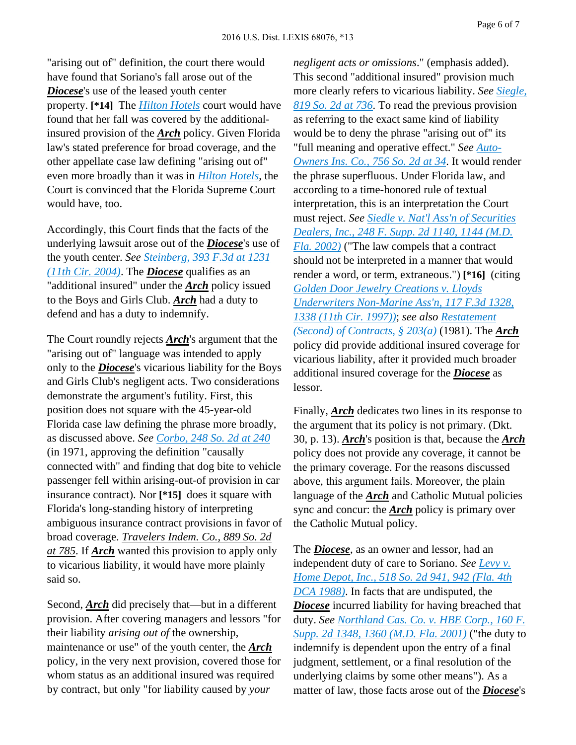"arising out of" definition, the court there would have found that Soriano's fall arose out of the *Diocese*'s use of the leased youth center property. **[\*14]** The *Hilton [Hotels](http://advance.lexis.com/api/document?collection=cases&id=urn:contentItem:3RX4-7JP0-003F-3529-00000-00&context=)* court would have found that her fall was covered by the additionalinsured provision of the *Arch* policy. Given Florida law's stated preference for broad coverage, and the other appellate case law defining "arising out of" even more broadly than it was in *Hilton [Hotels](http://advance.lexis.com/api/document?collection=cases&id=urn:contentItem:3RX4-7JP0-003F-3529-00000-00&context=)*, the Court is convinced that the Florida Supreme Court would have, too.

Accordingly, this Court finds that the facts of the underlying lawsuit arose out of the *Diocese*'s use of the youth center. *See [Steinberg,](http://advance.lexis.com/api/document?collection=cases&id=urn:contentItem:4F2M-WR90-0038-X238-00000-00&context=) 393 F.3d at 1231 (11th Cir. [2004\)](http://advance.lexis.com/api/document?collection=cases&id=urn:contentItem:4F2M-WR90-0038-X238-00000-00&context=)*. The *Diocese* qualifies as an "additional insured" under the *Arch* policy issued to the Boys and Girls Club. *Arch* had a duty to defend and has a duty to indemnify.

The Court roundly rejects *Arch*'s argument that the "arising out of" language was intended to apply only to the *Diocese*'s vicarious liability for the Boys and Girls Club's negligent acts. Two considerations demonstrate the argument's futility. First, this position does not square with the 45-year-old Florida case law defining the phrase more broadly, as discussed above. *See [Corbo,](http://advance.lexis.com/api/document?collection=cases&id=urn:contentItem:3RRM-7V80-003C-W0G5-00000-00&context=) 248 So. 2d at 240* (in 1971, approving the definition "causally connected with" and finding that dog bite to vehicle passenger fell within arising-out-of provision in car insurance contract). Nor **[\*15]** does it square with Florida's long-standing history of interpreting ambiguous insurance contract provisions in favor of broad coverage. *Travelers Indem. Co., 889 So. 2d at 785*. If *Arch* wanted this provision to apply only to vicarious liability, it would have more plainly said so.

Second, *Arch* did precisely that—but in a different provision. After covering managers and lessors "for their liability *arising out of* the ownership, maintenance or use" of the youth center, the *Arch* policy, in the very next provision, covered those for whom status as an additional insured was required by contract, but only "for liability caused by *your*

*negligent acts or omissions*." (emphasis added). This second "additional insured" provision much more clearly refers to vicarious liability. *See [Siegle,](http://advance.lexis.com/api/document?collection=cases&id=urn:contentItem:45WR-HWW0-0039-40D4-00000-00&context=) [819](http://advance.lexis.com/api/document?collection=cases&id=urn:contentItem:45WR-HWW0-0039-40D4-00000-00&context=) So. 2d at 736*. To read the previous provision as referring to the exact same kind of liability would be to deny the phrase "arising out of" its "full meaning and operative effect." *See [Auto-](http://advance.lexis.com/api/document?collection=cases&id=urn:contentItem:3YW3-F4P0-0039-424V-00000-00&context=)[Owners](http://advance.lexis.com/api/document?collection=cases&id=urn:contentItem:3YW3-F4P0-0039-424V-00000-00&context=) Ins. Co., 756 So. 2d at 34*. It would render the phrase superfluous. Under Florida law, and according to a time-honored rule of textual interpretation, this is an interpretation the Court must reject. *See Siedle v. Nat'l Ass'n of [Securities](http://advance.lexis.com/api/document?collection=cases&id=urn:contentItem:48N9-FFR0-0038-Y02K-00000-00&context=) [Dealers,](http://advance.lexis.com/api/document?collection=cases&id=urn:contentItem:48N9-FFR0-0038-Y02K-00000-00&context=) Inc., 248 F. Supp. 2d 1140, 1144 (M.D. Fla. [2002\)](http://advance.lexis.com/api/document?collection=cases&id=urn:contentItem:48N9-FFR0-0038-Y02K-00000-00&context=)* ("The law compels that a contract should not be interpreted in a manner that would render a word, or term, extraneous.") **[\*16]** (citing *Golden Door Jewelry [Creations](http://advance.lexis.com/api/document?collection=cases&id=urn:contentItem:3S4X-DTN0-00B1-D4TD-00000-00&context=) v. Lloyds [Underwriters](http://advance.lexis.com/api/document?collection=cases&id=urn:contentItem:3S4X-DTN0-00B1-D4TD-00000-00&context=) Non-Marine Ass'n, 117 F.3d 1328, 1338 (11th Cir. [1997\)\)](http://advance.lexis.com/api/document?collection=cases&id=urn:contentItem:3S4X-DTN0-00B1-D4TD-00000-00&context=)*; *see also [Restatement](http://advance.lexis.com/api/document?collection=analytical-materials&id=urn:contentItem:42GD-2SJ0-00YG-M07T-00000-00&context=) (Second) of [Contracts,](http://advance.lexis.com/api/document?collection=analytical-materials&id=urn:contentItem:42GD-2SJ0-00YG-M07T-00000-00&context=) § 203(a)* (1981). The *Arch* policy did provide additional insured coverage for vicarious liability, after it provided much broader additional insured coverage for the *Diocese* as lessor.

Finally, *Arch* dedicates two lines in its response to the argument that its policy is not primary. (Dkt. 30, p. 13). *Arch*'s position is that, because the *Arch* policy does not provide any coverage, it cannot be the primary coverage. For the reasons discussed above, this argument fails. Moreover, the plain language of the *Arch* and Catholic Mutual policies sync and concur: the *Arch* policy is primary over the Catholic Mutual policy.

The *Diocese*, as an owner and lessor, had an independent duty of care to Soriano. *See [Levy](http://advance.lexis.com/api/document?collection=cases&id=urn:contentItem:3RRR-6280-003D-X0RG-00000-00&context=) v. Home [Depot,](http://advance.lexis.com/api/document?collection=cases&id=urn:contentItem:3RRR-6280-003D-X0RG-00000-00&context=) Inc., 518 So. 2d 941, 942 (Fla. 4th DCA [1988\)](http://advance.lexis.com/api/document?collection=cases&id=urn:contentItem:3RRR-6280-003D-X0RG-00000-00&context=)*. In facts that are undisputed, the *Diocese* incurred liability for having breached that duty. *See [Northland](http://advance.lexis.com/api/document?collection=cases&id=urn:contentItem:44RX-WXN0-0038-Y0FB-00000-00&context=) Cas. Co. v. HBE Corp., 160 F. Supp. 2d 1348, 1360 [\(M.D.](http://advance.lexis.com/api/document?collection=cases&id=urn:contentItem:44RX-WXN0-0038-Y0FB-00000-00&context=) Fla. 2001)* ("the duty to indemnify is dependent upon the entry of a final judgment, settlement, or a final resolution of the underlying claims by some other means"). As a matter of law, those facts arose out of the *Diocese*'s